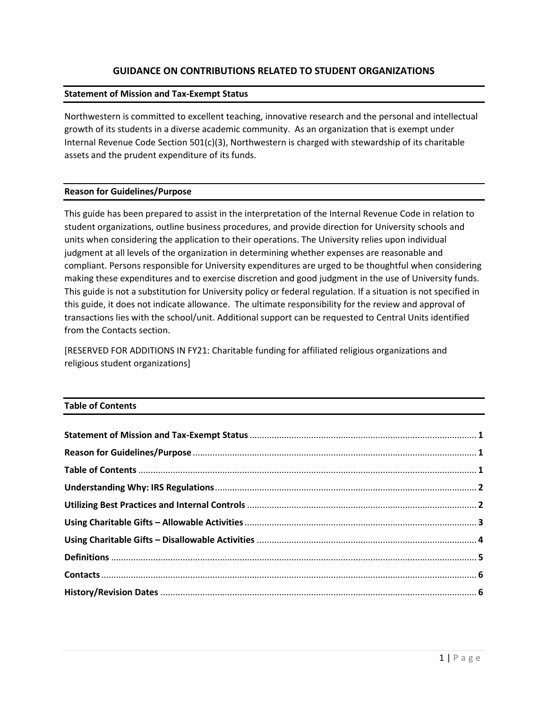# **GUIDANCE ON CONTRIBUTIONS RELATED TO STUDENT ORGANIZATIONS**

### **Statement of Mission and Tax-Exempt Status**

Northwestern is committed to excellent teaching, innovative research and the personal and intellectual growth of its students in a diverse academic community. As an organization that is exempt under Internal Revenue Code Section 501(c)(3), Northwestern is charged with stewardship of its charitable assets and the prudent expenditure of its funds.

### **Reason for Guidelines/Purpose**

This guide has been prepared to assist in the interpretation of the Internal Revenue Code in relation to student organizations, outline business procedures, and provide direction for University schools and units when considering the application to their operations. The University relies upon individual judgment at all levels of the organization in determining whether expenses are reasonable and compliant. Persons responsible for University expenditures are urged to be thoughtful when considering making these expenditures and to exercise discretion and good judgment in the use of University funds. This guide is not a substitution for University policy or federal regulation. If a situation is not specified in this guide, it does not indicate allowance. The ultimate responsibility for the review and approval of transactions lies with the school/unit. Additional support can be requested to Central Units identified from the Contacts section.

[RESERVED FOR ADDITIONS IN FY21: Charitable funding for affiliated religious organizations and religious student organizations]

#### **Table of Contents**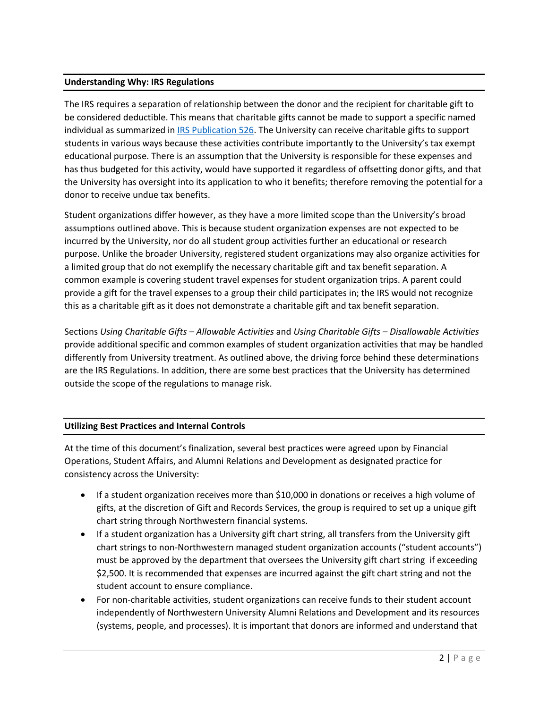### **Understanding Why: IRS Regulations**

The IRS requires a separation of relationship between the donor and the recipient for charitable gift to be considered deductible. This means that charitable gifts cannot be made to support a specific named individual as summarized in [IRS Publication 526.](https://www.irs.gov/forms-pubs/about-publication-526) The University can receive charitable gifts to support students in various ways because these activities contribute importantly to the University's tax exempt educational purpose. There is an assumption that the University is responsible for these expenses and has thus budgeted for this activity, would have supported it regardless of offsetting donor gifts, and that the University has oversight into its application to who it benefits; therefore removing the potential for a donor to receive undue tax benefits.

Student organizations differ however, as they have a more limited scope than the University's broad assumptions outlined above. This is because student organization expenses are not expected to be incurred by the University, nor do all student group activities further an educational or research purpose. Unlike the broader University, registered student organizations may also organize activities for a limited group that do not exemplify the necessary charitable gift and tax benefit separation. A common example is covering student travel expenses for student organization trips. A parent could provide a gift for the travel expenses to a group their child participates in; the IRS would not recognize this as a charitable gift as it does not demonstrate a charitable gift and tax benefit separation.

Sections *Using Charitable Gifts – Allowable Activities* and *Using Charitable Gifts – Disallowable Activities*  provide additional specific and common examples of student organization activities that may be handled differently from University treatment. As outlined above, the driving force behind these determinations are the IRS Regulations. In addition, there are some best practices that the University has determined outside the scope of the regulations to manage risk.

# **Utilizing Best Practices and Internal Controls**

At the time of this document's finalization, several best practices were agreed upon by Financial Operations, Student Affairs, and Alumni Relations and Development as designated practice for consistency across the University:

- If a student organization receives more than \$10,000 in donations or receives a high volume of gifts, at the discretion of Gift and Records Services, the group is required to set up a unique gift chart string through Northwestern financial systems.
- If a student organization has a University gift chart string, all transfers from the University gift chart strings to non-Northwestern managed student organization accounts ("student accounts") must be approved by the department that oversees the University gift chart string if exceeding \$2,500. It is recommended that expenses are incurred against the gift chart string and not the student account to ensure compliance.
- For non-charitable activities, student organizations can receive funds to their student account independently of Northwestern University Alumni Relations and Development and its resources (systems, people, and processes). It is important that donors are informed and understand that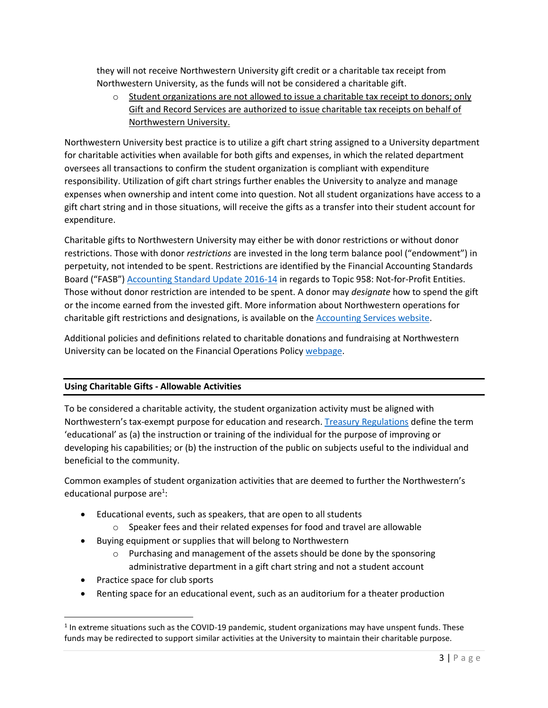they will not receive Northwestern University gift credit or a charitable tax receipt from Northwestern University, as the funds will not be considered a charitable gift.

 $\circ$  Student organizations are not allowed to issue a charitable tax receipt to donors; only Gift and Record Services are authorized to issue charitable tax receipts on behalf of Northwestern University.

Northwestern University best practice is to utilize a gift chart string assigned to a University department for charitable activities when available for both gifts and expenses, in which the related department oversees all transactions to confirm the student organization is compliant with expenditure responsibility. Utilization of gift chart strings further enables the University to analyze and manage expenses when ownership and intent come into question. Not all student organizations have access to a gift chart string and in those situations, will receive the gifts as a transfer into their student account for expenditure.

Charitable gifts to Northwestern University may either be with donor restrictions or without donor restrictions. Those with donor *restrictions* are invested in the long term balance pool ("endowment") in perpetuity, not intended to be spent. Restrictions are identified by the Financial Accounting Standards Board ("FASB") [Accounting Standard Update 2016-14](https://www.fasb.org/jsp/FASB/Document_C/DocumentPage?cid=1176168381847&acceptedDisclaimer=true) in regards to Topic 958: Not-for-Profit Entities. Those without donor restriction are intended to be spent. A donor may *designate* how to spend the gift or the income earned from the invested gift. More information about Northwestern operations for charitable gift restrictions and designations, is available on the [Accounting Services website.](https://www.northwestern.edu/controller/accounting-services/endowment-gift/resources.html)

Additional policies and definitions related to charitable donations and fundraising at Northwestern University can be located on the Financial Operations Polic[y webpage.](https://www.northwestern.edu/financial-operations/policies-procedures/policies/index.html)

# **Using Charitable Gifts - Allowable Activities**

To be considered a charitable activity, the student organization activity must be aligned with Northwestern's tax-exempt purpose for education and research. [Treasury Regulations](https://www.irs.gov/pub/irs-tege/rr73-439.pdf) define the term 'educational' as (a) the instruction or training of the individual for the purpose of improving or developing his capabilities; or (b) the instruction of the public on subjects useful to the individual and beneficial to the community.

Common examples of student organization activities that are deemed to further the Northwestern's educational purpose are<sup>1</sup>:

- Educational events, such as speakers, that are open to all students
	- o Speaker fees and their related expenses for food and travel are allowable
- Buying equipment or supplies that will belong to Northwestern
	- $\circ$  Purchasing and management of the assets should be done by the sponsoring administrative department in a gift chart string and not a student account
- Practice space for club sports

 $\overline{\phantom{a}}$ 

• Renting space for an educational event, such as an auditorium for a theater production

 $<sup>1</sup>$  In extreme situations such as the COVID-19 pandemic, student organizations may have unspent funds. These</sup> funds may be redirected to support similar activities at the University to maintain their charitable purpose.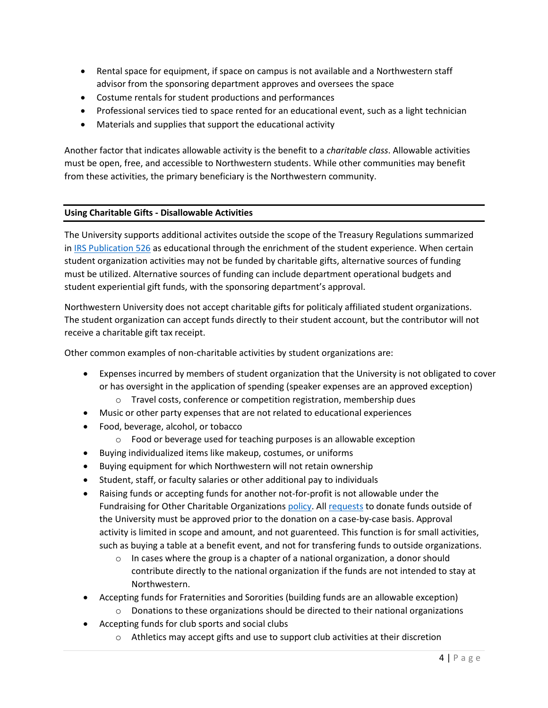- Rental space for equipment, if space on campus is not available and a Northwestern staff advisor from the sponsoring department approves and oversees the space
- Costume rentals for student productions and performances
- Professional services tied to space rented for an educational event, such as a light technician
- Materials and supplies that support the educational activity

Another factor that indicates allowable activity is the benefit to a *charitable class*. Allowable activities must be open, free, and accessible to Northwestern students. While other communities may benefit from these activities, the primary beneficiary is the Northwestern community.

## **Using Charitable Gifts - Disallowable Activities**

The University supports additional activites outside the scope of the Treasury Regulations summarized in [IRS Publication 526](https://www.irs.gov/forms-pubs/about-publication-526) as educational through the enrichment of the student experience. When certain student organization activities may not be funded by charitable gifts, alternative sources of funding must be utilized. Alternative sources of funding can include department operational budgets and student experiential gift funds, with the sponsoring department's approval.

Northwestern University does not accept charitable gifts for politicaly affiliated student organizations. The student organization can accept funds directly to their student account, but the contributor will not receive a charitable gift tax receipt.

Other common examples of non-charitable activities by student organizations are:

- Expenses incurred by members of student organization that the University is not obligated to cover or has oversight in the application of spending (speaker expenses are an approved exception)
	- o Travel costs, conference or competition registration, membership dues
- Music or other party expenses that are not related to educational experiences
- Food, beverage, alcohol, or tobacco
	- o Food or beverage used for teaching purposes is an allowable exception
- Buying individualized items like makeup, costumes, or uniforms
- Buying equipment for which Northwestern will not retain ownership
- Student, staff, or faculty salaries or other additional pay to individuals
- Raising funds or accepting funds for another not-for-profit is not allowable under the Fundraising for Other Charitable Organizations [policy.](https://www.northwestern.edu/financial-operations/policies-procedures/policies/index.html) All [requests](https://www.northwestern.edu/financial-operations/policies-procedures/forms/donation-fundraise-request.pdf) to donate funds outside of the University must be approved prior to the donation on a case-by-case basis. Approval activity is limited in scope and amount, and not guarenteed. This function is for small activities, such as buying a table at a benefit event, and not for transfering funds to outside organizations.
	- $\circ$  In cases where the group is a chapter of a national organization, a donor should contribute directly to the national organization if the funds are not intended to stay at Northwestern.
- Accepting funds for Fraternities and Sororities (building funds are an allowable exception)
	- $\circ$  Donations to these organizations should be directed to their national organizations
- Accepting funds for club sports and social clubs
	- $\circ$  Athletics may accept gifts and use to support club activities at their discretion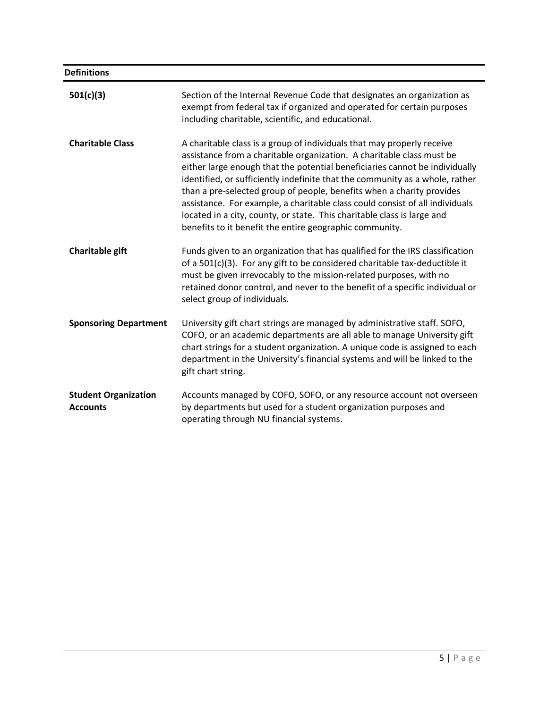| <b>Definitions</b>                             |                                                                                                                                                                                                                                                                                                                                                                                                                                                                                                                                                                                                               |
|------------------------------------------------|---------------------------------------------------------------------------------------------------------------------------------------------------------------------------------------------------------------------------------------------------------------------------------------------------------------------------------------------------------------------------------------------------------------------------------------------------------------------------------------------------------------------------------------------------------------------------------------------------------------|
| 501(c)(3)                                      | Section of the Internal Revenue Code that designates an organization as<br>exempt from federal tax if organized and operated for certain purposes<br>including charitable, scientific, and educational.                                                                                                                                                                                                                                                                                                                                                                                                       |
| <b>Charitable Class</b>                        | A charitable class is a group of individuals that may properly receive<br>assistance from a charitable organization. A charitable class must be<br>either large enough that the potential beneficiaries cannot be individually<br>identified, or sufficiently indefinite that the community as a whole, rather<br>than a pre-selected group of people, benefits when a charity provides<br>assistance. For example, a charitable class could consist of all individuals<br>located in a city, county, or state. This charitable class is large and<br>benefits to it benefit the entire geographic community. |
| Charitable gift                                | Funds given to an organization that has qualified for the IRS classification<br>of a 501(c)(3). For any gift to be considered charitable tax-deductible it<br>must be given irrevocably to the mission-related purposes, with no<br>retained donor control, and never to the benefit of a specific individual or<br>select group of individuals.                                                                                                                                                                                                                                                              |
| <b>Sponsoring Department</b>                   | University gift chart strings are managed by administrative staff. SOFO,<br>COFO, or an academic departments are all able to manage University gift<br>chart strings for a student organization. A unique code is assigned to each<br>department in the University's financial systems and will be linked to the<br>gift chart string.                                                                                                                                                                                                                                                                        |
| <b>Student Organization</b><br><b>Accounts</b> | Accounts managed by COFO, SOFO, or any resource account not overseen<br>by departments but used for a student organization purposes and<br>operating through NU financial systems.                                                                                                                                                                                                                                                                                                                                                                                                                            |